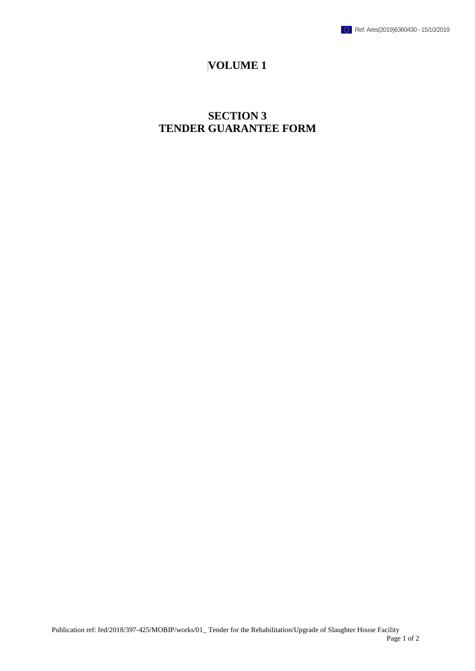

## **VOLUME 1**

# **SECTION 3 TENDER GUARANTEE FORM**